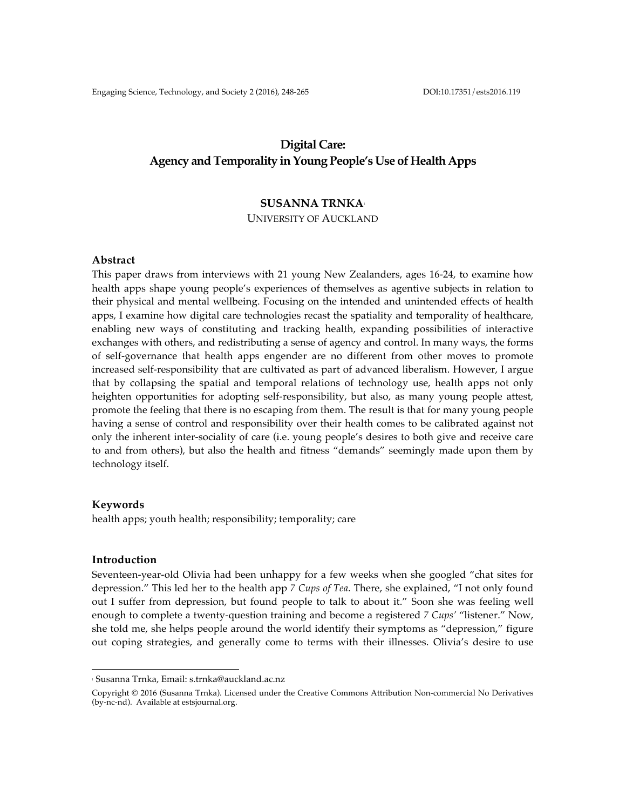# **Digital Care: Agency and Temporality in Young People's Use of Health Apps**

# **SUSANNA TRNKA**<sup>1</sup>

UNIVERSITY OF AUCKLAND

### **Abstract**

This paper draws from interviews with 21 young New Zealanders, ages 16-24, to examine how health apps shape young people's experiences of themselves as agentive subjects in relation to their physical and mental wellbeing. Focusing on the intended and unintended effects of health apps, I examine how digital care technologies recast the spatiality and temporality of healthcare, enabling new ways of constituting and tracking health, expanding possibilities of interactive exchanges with others, and redistributing a sense of agency and control. In many ways, the forms of self-governance that health apps engender are no different from other moves to promote increased self-responsibility that are cultivated as part of advanced liberalism. However, I argue that by collapsing the spatial and temporal relations of technology use, health apps not only heighten opportunities for adopting self-responsibility, but also, as many young people attest, promote the feeling that there is no escaping from them. The result is that for many young people having a sense of control and responsibility over their health comes to be calibrated against not only the inherent inter-sociality of care (i.e. young people's desires to both give and receive care to and from others), but also the health and fitness "demands" seemingly made upon them by technology itself.

#### **Keywords**

health apps; youth health; responsibility; temporality; care

#### **Introduction**

Seventeen-year-old Olivia had been unhappy for a few weeks when she googled "chat sites for depression." This led her to the health app *7 Cups of Tea*. There, she explained, "I not only found out I suffer from depression, but found people to talk to about it." Soon she was feeling well enough to complete a twenty-question training and become a registered *7 Cups'* "listener." Now, she told me, she helps people around the world identify their symptoms as "depression," figure out coping strategies, and generally come to terms with their illnesses. Olivia's desire to use

 

<sup>1</sup> Susanna Trnka, Email: s.trnka@auckland.ac.nz

Copyright © 2016 (Susanna Trnka). Licensed under the Creative Commons Attribution Non-commercial No Derivatives (by-nc-nd). Available at estsjournal.org.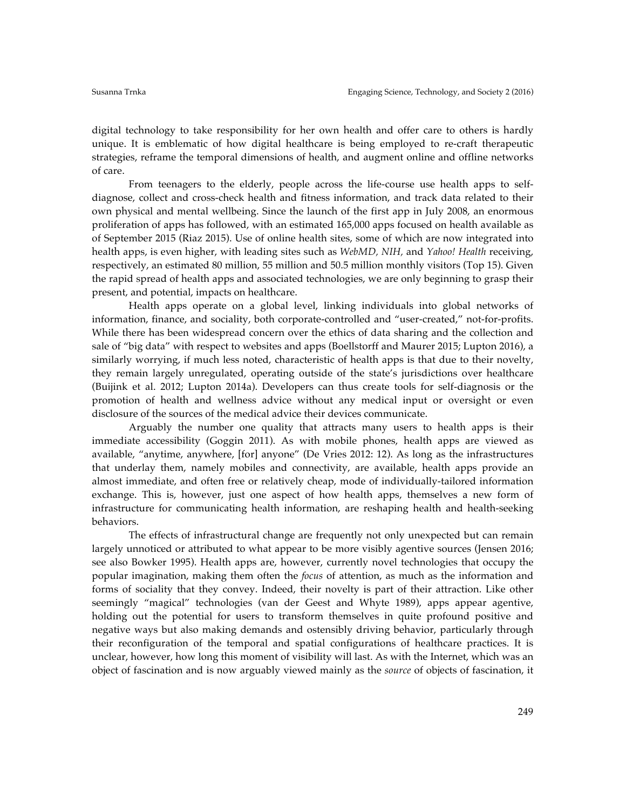digital technology to take responsibility for her own health and offer care to others is hardly unique. It is emblematic of how digital healthcare is being employed to re-craft therapeutic strategies, reframe the temporal dimensions of health, and augment online and offline networks of care.

From teenagers to the elderly, people across the life-course use health apps to selfdiagnose, collect and cross-check health and fitness information, and track data related to their own physical and mental wellbeing. Since the launch of the first app in July 2008, an enormous proliferation of apps has followed, with an estimated 165,000 apps focused on health available as of September 2015 (Riaz 2015). Use of online health sites, some of which are now integrated into health apps, is even higher, with leading sites such as *WebMD, NIH,* and *Yahoo! Health* receiving, respectively, an estimated 80 million, 55 million and 50.5 million monthly visitors (Top 15). Given the rapid spread of health apps and associated technologies, we are only beginning to grasp their present, and potential, impacts on healthcare.

Health apps operate on a global level, linking individuals into global networks of information, finance, and sociality, both corporate-controlled and "user-created," not-for-profits. While there has been widespread concern over the ethics of data sharing and the collection and sale of "big data" with respect to websites and apps (Boellstorff and Maurer 2015; Lupton 2016), a similarly worrying, if much less noted, characteristic of health apps is that due to their novelty, they remain largely unregulated, operating outside of the state's jurisdictions over healthcare (Buijink et al. 2012; Lupton 2014a). Developers can thus create tools for self-diagnosis or the promotion of health and wellness advice without any medical input or oversight or even disclosure of the sources of the medical advice their devices communicate.

Arguably the number one quality that attracts many users to health apps is their immediate accessibility (Goggin 2011). As with mobile phones, health apps are viewed as available, "anytime, anywhere, [for] anyone" (De Vries 2012: 12). As long as the infrastructures that underlay them, namely mobiles and connectivity, are available, health apps provide an almost immediate, and often free or relatively cheap, mode of individually-tailored information exchange. This is, however, just one aspect of how health apps, themselves a new form of infrastructure for communicating health information, are reshaping health and health-seeking behaviors.

The effects of infrastructural change are frequently not only unexpected but can remain largely unnoticed or attributed to what appear to be more visibly agentive sources (Jensen 2016; see also Bowker 1995). Health apps are, however, currently novel technologies that occupy the popular imagination, making them often the *focus* of attention, as much as the information and forms of sociality that they convey. Indeed, their novelty is part of their attraction. Like other seemingly "magical" technologies (van der Geest and Whyte 1989), apps appear agentive, holding out the potential for users to transform themselves in quite profound positive and negative ways but also making demands and ostensibly driving behavior, particularly through their reconfiguration of the temporal and spatial configurations of healthcare practices. It is unclear, however, how long this moment of visibility will last. As with the Internet, which was an object of fascination and is now arguably viewed mainly as the *source* of objects of fascination, it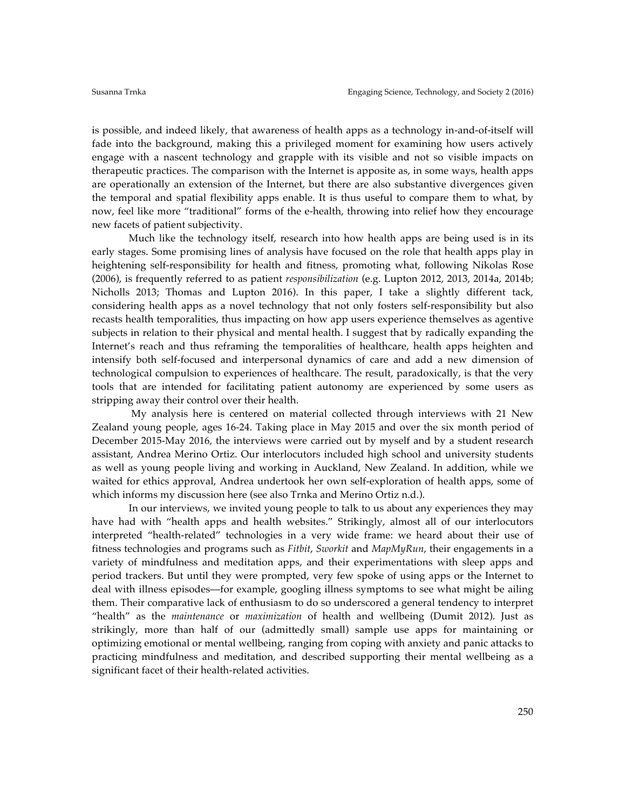is possible, and indeed likely, that awareness of health apps as a technology in-and-of-itself will fade into the background, making this a privileged moment for examining how users actively engage with a nascent technology and grapple with its visible and not so visible impacts on therapeutic practices. The comparison with the Internet is apposite as, in some ways, health apps are operationally an extension of the Internet, but there are also substantive divergences given the temporal and spatial flexibility apps enable. It is thus useful to compare them to what, by now, feel like more "traditional" forms of the e-health, throwing into relief how they encourage new facets of patient subjectivity.

Much like the technology itself, research into how health apps are being used is in its early stages. Some promising lines of analysis have focused on the role that health apps play in heightening self-responsibility for health and fitness, promoting what, following Nikolas Rose (2006), is frequently referred to as patient *responsibilization* (e.g. Lupton 2012, 2013, 2014a, 2014b; Nicholls 2013; Thomas and Lupton 2016). In this paper, I take a slightly different tack, considering health apps as a novel technology that not only fosters self-responsibility but also recasts health temporalities, thus impacting on how app users experience themselves as agentive subjects in relation to their physical and mental health. I suggest that by radically expanding the Internet's reach and thus reframing the temporalities of healthcare, health apps heighten and intensify both self-focused and interpersonal dynamics of care and add a new dimension of technological compulsion to experiences of healthcare. The result, paradoxically, is that the very tools that are intended for facilitating patient autonomy are experienced by some users as stripping away their control over their health.

My analysis here is centered on material collected through interviews with 21 New Zealand young people, ages 16-24. Taking place in May 2015 and over the six month period of December 2015-May 2016, the interviews were carried out by myself and by a student research assistant, Andrea Merino Ortiz. Our interlocutors included high school and university students as well as young people living and working in Auckland, New Zealand. In addition, while we waited for ethics approval, Andrea undertook her own self-exploration of health apps, some of which informs my discussion here (see also Trnka and Merino Ortiz n.d.).

In our interviews, we invited young people to talk to us about any experiences they may have had with "health apps and health websites." Strikingly, almost all of our interlocutors interpreted "health-related" technologies in a very wide frame: we heard about their use of fitness technologies and programs such as *Fitbit*, *Sworkit* and *MapMyRun*, their engagements in a variety of mindfulness and meditation apps, and their experimentations with sleep apps and period trackers. But until they were prompted, very few spoke of using apps or the Internet to deal with illness episodes––for example, googling illness symptoms to see what might be ailing them. Their comparative lack of enthusiasm to do so underscored a general tendency to interpret "health" as the *maintenance* or *maximization* of health and wellbeing (Dumit 2012). Just as strikingly, more than half of our (admittedly small) sample use apps for maintaining or optimizing emotional or mental wellbeing, ranging from coping with anxiety and panic attacks to practicing mindfulness and meditation, and described supporting their mental wellbeing as a significant facet of their health-related activities.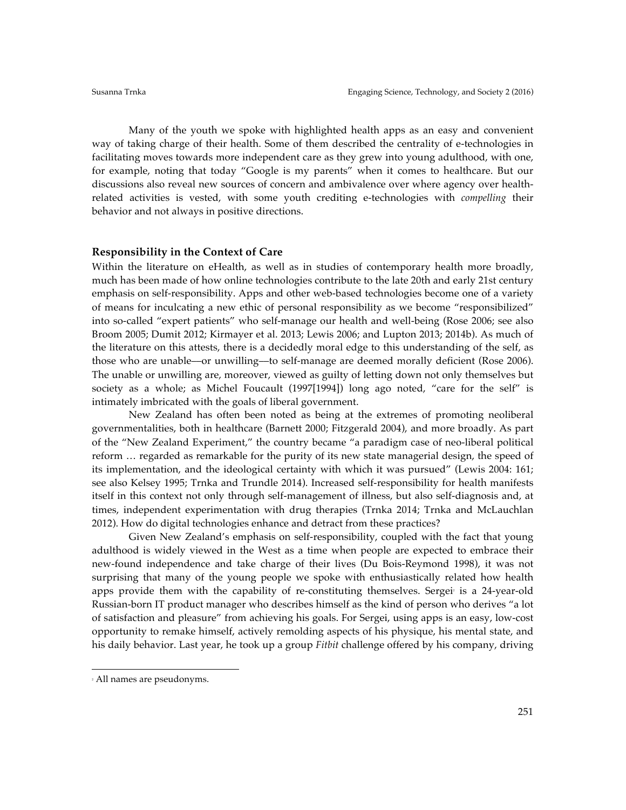Many of the youth we spoke with highlighted health apps as an easy and convenient way of taking charge of their health. Some of them described the centrality of e-technologies in facilitating moves towards more independent care as they grew into young adulthood, with one, for example, noting that today "Google is my parents" when it comes to healthcare. But our discussions also reveal new sources of concern and ambivalence over where agency over healthrelated activities is vested, with some youth crediting e-technologies with *compelling* their behavior and not always in positive directions.

## **Responsibility in the Context of Care**

Within the literature on eHealth, as well as in studies of contemporary health more broadly, much has been made of how online technologies contribute to the late 20th and early 21st century emphasis on self-responsibility. Apps and other web-based technologies become one of a variety of means for inculcating a new ethic of personal responsibility as we become "responsibilized" into so-called "expert patients" who self-manage our health and well-being (Rose 2006; see also Broom 2005; Dumit 2012; Kirmayer et al. 2013; Lewis 2006; and Lupton 2013; 2014b). As much of the literature on this attests, there is a decidedly moral edge to this understanding of the self, as those who are unable––or unwilling––to self-manage are deemed morally deficient (Rose 2006). The unable or unwilling are, moreover, viewed as guilty of letting down not only themselves but society as a whole; as Michel Foucault (1997[1994]) long ago noted, "care for the self" is intimately imbricated with the goals of liberal government.

New Zealand has often been noted as being at the extremes of promoting neoliberal governmentalities, both in healthcare (Barnett 2000; Fitzgerald 2004), and more broadly. As part of the "New Zealand Experiment," the country became "a paradigm case of neo-liberal political reform … regarded as remarkable for the purity of its new state managerial design, the speed of its implementation, and the ideological certainty with which it was pursued" (Lewis 2004: 161; see also Kelsey 1995; Trnka and Trundle 2014). Increased self-responsibility for health manifests itself in this context not only through self-management of illness, but also self-diagnosis and, at times, independent experimentation with drug therapies (Trnka 2014; Trnka and McLauchlan 2012). How do digital technologies enhance and detract from these practices?

Given New Zealand's emphasis on self-responsibility, coupled with the fact that young adulthood is widely viewed in the West as a time when people are expected to embrace their new-found independence and take charge of their lives (Du Bois-Reymond 1998), it was not surprising that many of the young people we spoke with enthusiastically related how health apps provide them with the capability of re-constituting themselves. Sergei is a 24-year-old Russian-born IT product manager who describes himself as the kind of person who derives "a lot of satisfaction and pleasure" from achieving his goals. For Sergei, using apps is an easy, low-cost opportunity to remake himself, actively remolding aspects of his physique, his mental state, and his daily behavior. Last year, he took up a group *Fitbit* challenge offered by his company, driving

 

<sup>2</sup> All names are pseudonyms.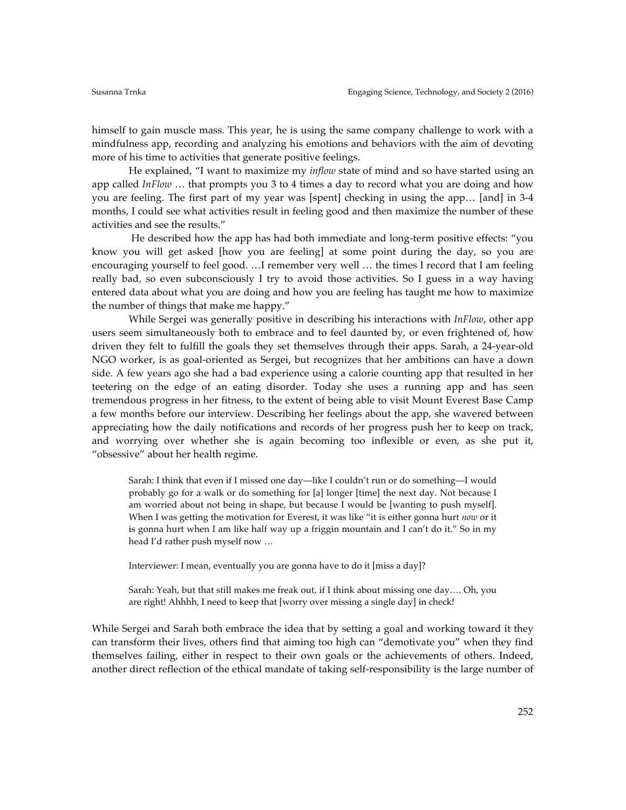himself to gain muscle mass. This year, he is using the same company challenge to work with a mindfulness app, recording and analyzing his emotions and behaviors with the aim of devoting more of his time to activities that generate positive feelings.

He explained, "I want to maximize my *inflow* state of mind and so have started using an app called *InFlow* … that prompts you 3 to 4 times a day to record what you are doing and how you are feeling. The first part of my year was [spent] checking in using the app… [and] in 3-4 months, I could see what activities result in feeling good and then maximize the number of these activities and see the results."

He described how the app has had both immediate and long-term positive effects: "you know you will get asked [how you are feeling] at some point during the day, so you are encouraging yourself to feel good. …I remember very well … the times I record that I am feeling really bad, so even subconsciously I try to avoid those activities. So I guess in a way having entered data about what you are doing and how you are feeling has taught me how to maximize the number of things that make me happy."

While Sergei was generally positive in describing his interactions with *InFlow*, other app users seem simultaneously both to embrace and to feel daunted by, or even frightened of, how driven they felt to fulfill the goals they set themselves through their apps. Sarah, a 24-year-old NGO worker, is as goal-oriented as Sergei, but recognizes that her ambitions can have a down side. A few years ago she had a bad experience using a calorie counting app that resulted in her teetering on the edge of an eating disorder. Today she uses a running app and has seen tremendous progress in her fitness, to the extent of being able to visit Mount Everest Base Camp a few months before our interview. Describing her feelings about the app, she wavered between appreciating how the daily notifications and records of her progress push her to keep on track, and worrying over whether she is again becoming too inflexible or even, as she put it, "obsessive" about her health regime.

Sarah: I think that even if I missed one day—like I couldn't run or do something—I would probably go for a walk or do something for [a] longer [time] the next day. Not because I am worried about not being in shape, but because I would be [wanting to push myself]. When I was getting the motivation for Everest, it was like "it is either gonna hurt *now* or it is gonna hurt when I am like half way up a friggin mountain and I can't do it." So in my head I'd rather push myself now …

Interviewer: I mean, eventually you are gonna have to do it [miss a day]?

Sarah: Yeah, but that still makes me freak out, if I think about missing one day…. Oh, you are right! Ahhhh, I need to keep that [worry over missing a single day] in check!

While Sergei and Sarah both embrace the idea that by setting a goal and working toward it they can transform their lives, others find that aiming too high can "demotivate you" when they find themselves failing, either in respect to their own goals or the achievements of others. Indeed, another direct reflection of the ethical mandate of taking self-responsibility is the large number of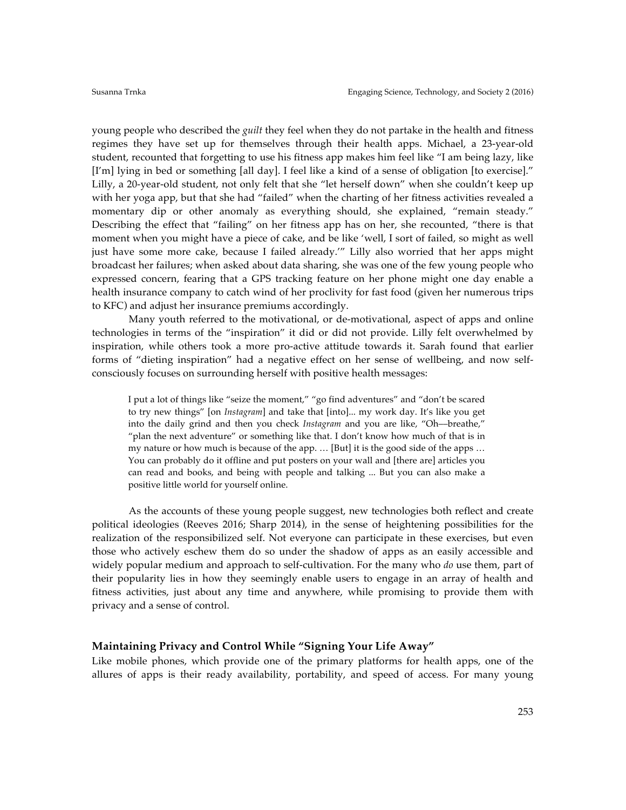young people who described the *guilt* they feel when they do not partake in the health and fitness regimes they have set up for themselves through their health apps. Michael, a 23-year-old student, recounted that forgetting to use his fitness app makes him feel like "I am being lazy, like [I'm] lying in bed or something [all day]. I feel like a kind of a sense of obligation [to exercise]." Lilly, a 20-year-old student, not only felt that she "let herself down" when she couldn't keep up with her yoga app, but that she had "failed" when the charting of her fitness activities revealed a momentary dip or other anomaly as everything should, she explained, "remain steady." Describing the effect that "failing" on her fitness app has on her, she recounted, "there is that moment when you might have a piece of cake, and be like 'well, I sort of failed, so might as well just have some more cake, because I failed already.'" Lilly also worried that her apps might broadcast her failures; when asked about data sharing, she was one of the few young people who expressed concern, fearing that a GPS tracking feature on her phone might one day enable a health insurance company to catch wind of her proclivity for fast food (given her numerous trips to KFC) and adjust her insurance premiums accordingly.

Many youth referred to the motivational, or de-motivational, aspect of apps and online technologies in terms of the "inspiration" it did or did not provide. Lilly felt overwhelmed by inspiration, while others took a more pro-active attitude towards it. Sarah found that earlier forms of "dieting inspiration" had a negative effect on her sense of wellbeing, and now selfconsciously focuses on surrounding herself with positive health messages:

I put a lot of things like "seize the moment," "go find adventures" and "don't be scared to try new things" [on *Instagram*] and take that [into]... my work day. It's like you get into the daily grind and then you check *Instagram* and you are like, "Oh––breathe," "plan the next adventure" or something like that. I don't know how much of that is in my nature or how much is because of the app. … [But] it is the good side of the apps … You can probably do it offline and put posters on your wall and [there are] articles you can read and books, and being with people and talking ... But you can also make a positive little world for yourself online.

As the accounts of these young people suggest, new technologies both reflect and create political ideologies (Reeves 2016; Sharp 2014), in the sense of heightening possibilities for the realization of the responsibilized self. Not everyone can participate in these exercises, but even those who actively eschew them do so under the shadow of apps as an easily accessible and widely popular medium and approach to self-cultivation. For the many who *do* use them, part of their popularity lies in how they seemingly enable users to engage in an array of health and fitness activities, just about any time and anywhere, while promising to provide them with privacy and a sense of control.

## **Maintaining Privacy and Control While "Signing Your Life Away"**

Like mobile phones, which provide one of the primary platforms for health apps, one of the allures of apps is their ready availability, portability, and speed of access. For many young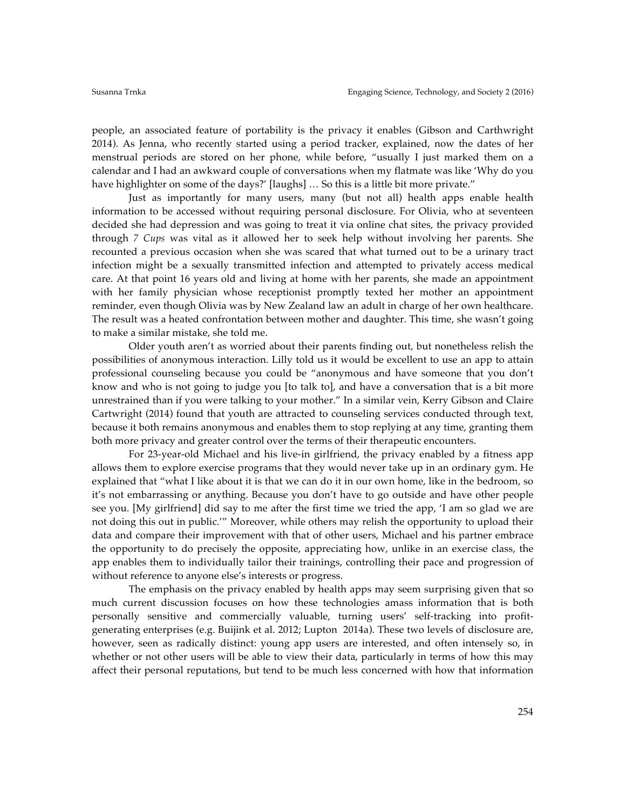people, an associated feature of portability is the privacy it enables (Gibson and Carthwright 2014). As Jenna, who recently started using a period tracker, explained, now the dates of her menstrual periods are stored on her phone, while before, "usually I just marked them on a calendar and I had an awkward couple of conversations when my flatmate was like 'Why do you have highlighter on some of the days?' [laughs] ... So this is a little bit more private."

Just as importantly for many users, many (but not all) health apps enable health information to be accessed without requiring personal disclosure. For Olivia, who at seventeen decided she had depression and was going to treat it via online chat sites, the privacy provided through *7 Cups* was vital as it allowed her to seek help without involving her parents. She recounted a previous occasion when she was scared that what turned out to be a urinary tract infection might be a sexually transmitted infection and attempted to privately access medical care. At that point 16 years old and living at home with her parents, she made an appointment with her family physician whose receptionist promptly texted her mother an appointment reminder, even though Olivia was by New Zealand law an adult in charge of her own healthcare. The result was a heated confrontation between mother and daughter. This time, she wasn't going to make a similar mistake, she told me.

Older youth aren't as worried about their parents finding out, but nonetheless relish the possibilities of anonymous interaction. Lilly told us it would be excellent to use an app to attain professional counseling because you could be "anonymous and have someone that you don't know and who is not going to judge you [to talk to], and have a conversation that is a bit more unrestrained than if you were talking to your mother." In a similar vein, Kerry Gibson and Claire Cartwright (2014) found that youth are attracted to counseling services conducted through text, because it both remains anonymous and enables them to stop replying at any time, granting them both more privacy and greater control over the terms of their therapeutic encounters.

For 23-year-old Michael and his live-in girlfriend, the privacy enabled by a fitness app allows them to explore exercise programs that they would never take up in an ordinary gym. He explained that "what I like about it is that we can do it in our own home, like in the bedroom, so it's not embarrassing or anything. Because you don't have to go outside and have other people see you. [My girlfriend] did say to me after the first time we tried the app, 'I am so glad we are not doing this out in public.'" Moreover, while others may relish the opportunity to upload their data and compare their improvement with that of other users, Michael and his partner embrace the opportunity to do precisely the opposite, appreciating how, unlike in an exercise class, the app enables them to individually tailor their trainings, controlling their pace and progression of without reference to anyone else's interests or progress.

The emphasis on the privacy enabled by health apps may seem surprising given that so much current discussion focuses on how these technologies amass information that is both personally sensitive and commercially valuable, turning users' self-tracking into profitgenerating enterprises (e.g. Buijink et al. 2012; Lupton 2014a). These two levels of disclosure are, however, seen as radically distinct: young app users are interested, and often intensely so, in whether or not other users will be able to view their data, particularly in terms of how this may affect their personal reputations, but tend to be much less concerned with how that information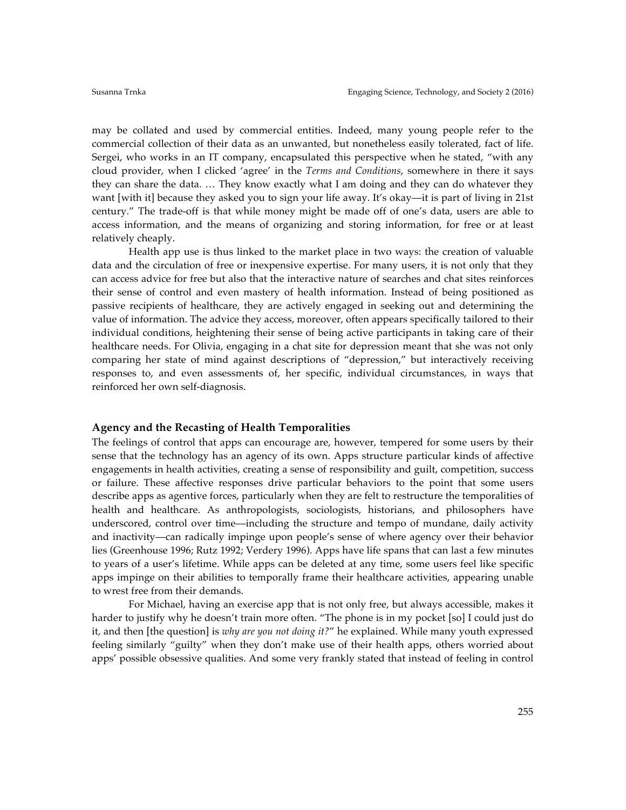may be collated and used by commercial entities. Indeed, many young people refer to the commercial collection of their data as an unwanted, but nonetheless easily tolerated, fact of life. Sergei, who works in an IT company, encapsulated this perspective when he stated, "with any cloud provider, when I clicked 'agree' in the *Terms and Conditions*, somewhere in there it says they can share the data. … They know exactly what I am doing and they can do whatever they want [with it] because they asked you to sign your life away. It's okay—it is part of living in 21st century." The trade-off is that while money might be made off of one's data, users are able to access information, and the means of organizing and storing information, for free or at least relatively cheaply.

Health app use is thus linked to the market place in two ways: the creation of valuable data and the circulation of free or inexpensive expertise. For many users, it is not only that they can access advice for free but also that the interactive nature of searches and chat sites reinforces their sense of control and even mastery of health information. Instead of being positioned as passive recipients of healthcare, they are actively engaged in seeking out and determining the value of information. The advice they access, moreover, often appears specifically tailored to their individual conditions, heightening their sense of being active participants in taking care of their healthcare needs. For Olivia, engaging in a chat site for depression meant that she was not only comparing her state of mind against descriptions of "depression," but interactively receiving responses to, and even assessments of, her specific, individual circumstances, in ways that reinforced her own self-diagnosis.

## **Agency and the Recasting of Health Temporalities**

The feelings of control that apps can encourage are, however, tempered for some users by their sense that the technology has an agency of its own. Apps structure particular kinds of affective engagements in health activities, creating a sense of responsibility and guilt, competition, success or failure. These affective responses drive particular behaviors to the point that some users describe apps as agentive forces, particularly when they are felt to restructure the temporalities of health and healthcare. As anthropologists, sociologists, historians, and philosophers have underscored, control over time––including the structure and tempo of mundane, daily activity and inactivity––can radically impinge upon people's sense of where agency over their behavior lies (Greenhouse 1996; Rutz 1992; Verdery 1996). Apps have life spans that can last a few minutes to years of a user's lifetime. While apps can be deleted at any time, some users feel like specific apps impinge on their abilities to temporally frame their healthcare activities, appearing unable to wrest free from their demands.

For Michael, having an exercise app that is not only free, but always accessible, makes it harder to justify why he doesn't train more often. "The phone is in my pocket [so] I could just do it, and then [the question] is *why are you not doing it?*" he explained. While many youth expressed feeling similarly "guilty" when they don't make use of their health apps, others worried about apps' possible obsessive qualities. And some very frankly stated that instead of feeling in control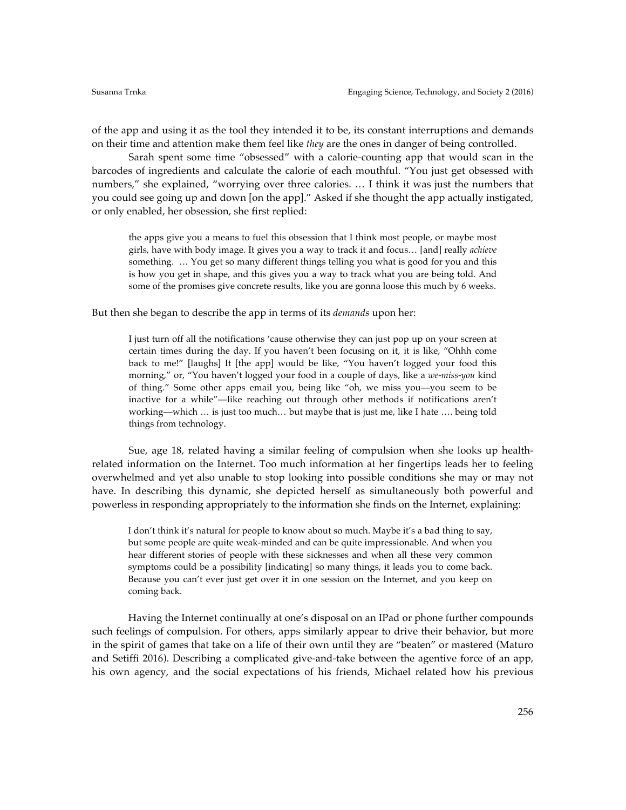of the app and using it as the tool they intended it to be, its constant interruptions and demands on their time and attention make them feel like *they* are the ones in danger of being controlled.

Sarah spent some time "obsessed" with a calorie-counting app that would scan in the barcodes of ingredients and calculate the calorie of each mouthful. "You just get obsessed with numbers," she explained, "worrying over three calories. … I think it was just the numbers that you could see going up and down [on the app]." Asked if she thought the app actually instigated, or only enabled, her obsession, she first replied:

the apps give you a means to fuel this obsession that I think most people, or maybe most girls, have with body image. It gives you a way to track it and focus… [and] really *achieve* something. … You get so many different things telling you what is good for you and this is how you get in shape, and this gives you a way to track what you are being told. And some of the promises give concrete results, like you are gonna loose this much by 6 weeks.

But then she began to describe the app in terms of its *demands* upon her:

I just turn off all the notifications 'cause otherwise they can just pop up on your screen at certain times during the day. If you haven't been focusing on it, it is like, "Ohhh come back to me!" [laughs] It [the app] would be like, "You haven't logged your food this morning," or, "You haven't logged your food in a couple of days, like a *we-miss-you* kind of thing." Some other apps email you, being like "oh, we miss you––you seem to be inactive for a while"––like reaching out through other methods if notifications aren't working––which … is just too much… but maybe that is just me, like I hate …. being told things from technology.

Sue, age 18, related having a similar feeling of compulsion when she looks up healthrelated information on the Internet. Too much information at her fingertips leads her to feeling overwhelmed and yet also unable to stop looking into possible conditions she may or may not have. In describing this dynamic, she depicted herself as simultaneously both powerful and powerless in responding appropriately to the information she finds on the Internet, explaining:

I don't think it's natural for people to know about so much. Maybe it's a bad thing to say, but some people are quite weak-minded and can be quite impressionable. And when you hear different stories of people with these sicknesses and when all these very common symptoms could be a possibility [indicating] so many things, it leads you to come back. Because you can't ever just get over it in one session on the Internet, and you keep on coming back.

Having the Internet continually at one's disposal on an IPad or phone further compounds such feelings of compulsion. For others, apps similarly appear to drive their behavior, but more in the spirit of games that take on a life of their own until they are "beaten" or mastered (Maturo and Setiffi 2016). Describing a complicated give-and-take between the agentive force of an app, his own agency, and the social expectations of his friends, Michael related how his previous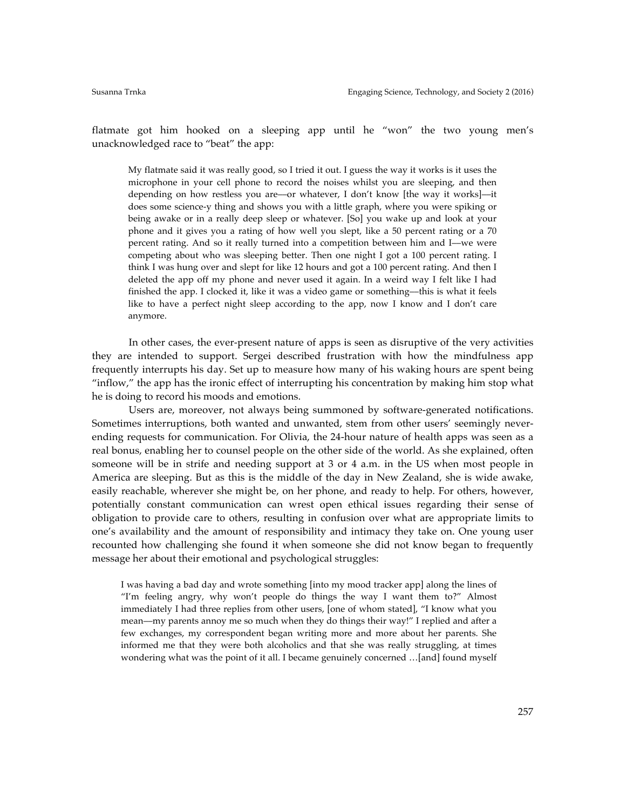flatmate got him hooked on a sleeping app until he "won" the two young men's unacknowledged race to "beat" the app:

My flatmate said it was really good, so I tried it out. I guess the way it works is it uses the microphone in your cell phone to record the noises whilst you are sleeping, and then depending on how restless you are––or whatever, I don't know [the way it works]––it does some science-y thing and shows you with a little graph, where you were spiking or being awake or in a really deep sleep or whatever. [So] you wake up and look at your phone and it gives you a rating of how well you slept, like a 50 percent rating or a 70 percent rating. And so it really turned into a competition between him and I––we were competing about who was sleeping better. Then one night I got a 100 percent rating. I think I was hung over and slept for like 12 hours and got a 100 percent rating. And then I deleted the app off my phone and never used it again. In a weird way I felt like I had finished the app. I clocked it, like it was a video game or something––this is what it feels like to have a perfect night sleep according to the app, now I know and I don't care anymore.

In other cases, the ever-present nature of apps is seen as disruptive of the very activities they are intended to support. Sergei described frustration with how the mindfulness app frequently interrupts his day. Set up to measure how many of his waking hours are spent being "inflow," the app has the ironic effect of interrupting his concentration by making him stop what he is doing to record his moods and emotions.

Users are, moreover, not always being summoned by software-generated notifications. Sometimes interruptions, both wanted and unwanted, stem from other users' seemingly neverending requests for communication. For Olivia, the 24-hour nature of health apps was seen as a real bonus, enabling her to counsel people on the other side of the world. As she explained, often someone will be in strife and needing support at 3 or 4 a.m. in the US when most people in America are sleeping. But as this is the middle of the day in New Zealand, she is wide awake, easily reachable, wherever she might be, on her phone, and ready to help. For others, however, potentially constant communication can wrest open ethical issues regarding their sense of obligation to provide care to others, resulting in confusion over what are appropriate limits to one's availability and the amount of responsibility and intimacy they take on. One young user recounted how challenging she found it when someone she did not know began to frequently message her about their emotional and psychological struggles:

I was having a bad day and wrote something [into my mood tracker app] along the lines of "I'm feeling angry, why won't people do things the way I want them to?" Almost immediately I had three replies from other users, [one of whom stated], "I know what you mean––my parents annoy me so much when they do things their way!" I replied and after a few exchanges, my correspondent began writing more and more about her parents. She informed me that they were both alcoholics and that she was really struggling, at times wondering what was the point of it all. I became genuinely concerned …[and] found myself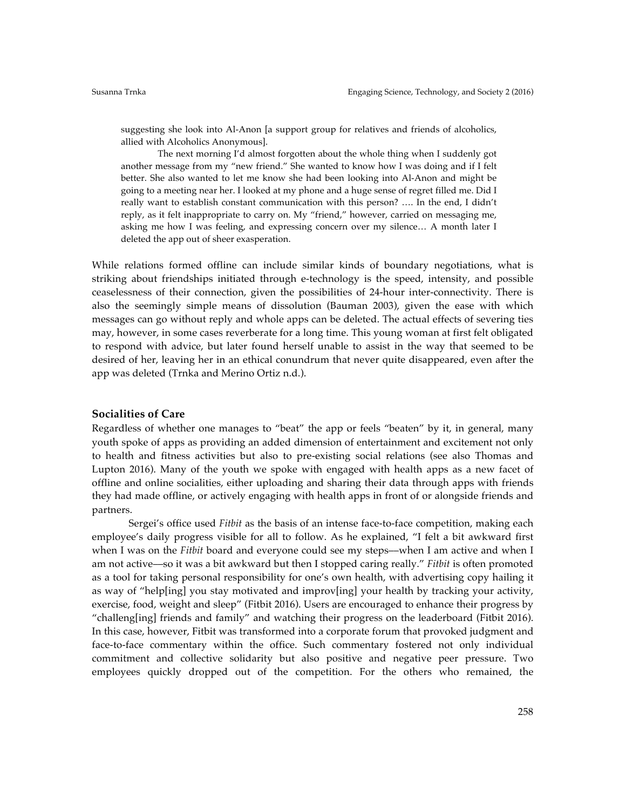suggesting she look into Al-Anon [a support group for relatives and friends of alcoholics, allied with Alcoholics Anonymous].

The next morning I'd almost forgotten about the whole thing when I suddenly got another message from my "new friend." She wanted to know how I was doing and if I felt better. She also wanted to let me know she had been looking into Al-Anon and might be going to a meeting near her. I looked at my phone and a huge sense of regret filled me. Did I really want to establish constant communication with this person? …. In the end, I didn't reply, as it felt inappropriate to carry on. My "friend," however, carried on messaging me, asking me how I was feeling, and expressing concern over my silence… A month later I deleted the app out of sheer exasperation.

While relations formed offline can include similar kinds of boundary negotiations, what is striking about friendships initiated through e-technology is the speed, intensity, and possible ceaselessness of their connection, given the possibilities of 24-hour inter-connectivity. There is also the seemingly simple means of dissolution (Bauman 2003), given the ease with which messages can go without reply and whole apps can be deleted. The actual effects of severing ties may, however, in some cases reverberate for a long time. This young woman at first felt obligated to respond with advice, but later found herself unable to assist in the way that seemed to be desired of her, leaving her in an ethical conundrum that never quite disappeared, even after the app was deleted (Trnka and Merino Ortiz n.d.).

## **Socialities of Care**

Regardless of whether one manages to "beat" the app or feels "beaten" by it, in general, many youth spoke of apps as providing an added dimension of entertainment and excitement not only to health and fitness activities but also to pre-existing social relations (see also Thomas and Lupton 2016). Many of the youth we spoke with engaged with health apps as a new facet of offline and online socialities, either uploading and sharing their data through apps with friends they had made offline, or actively engaging with health apps in front of or alongside friends and partners.

Sergei's office used *Fitbit* as the basis of an intense face-to-face competition, making each employee's daily progress visible for all to follow. As he explained, "I felt a bit awkward first when I was on the *Fitbit* board and everyone could see my steps––when I am active and when I am not active––so it was a bit awkward but then I stopped caring really." *Fitbit* is often promoted as a tool for taking personal responsibility for one's own health, with advertising copy hailing it as way of "help[ing] you stay motivated and improv[ing] your health by tracking your activity, exercise, food, weight and sleep" (Fitbit 2016). Users are encouraged to enhance their progress by "challeng[ing] friends and family" and watching their progress on the leaderboard (Fitbit 2016). In this case, however, Fitbit was transformed into a corporate forum that provoked judgment and face-to-face commentary within the office. Such commentary fostered not only individual commitment and collective solidarity but also positive and negative peer pressure. Two employees quickly dropped out of the competition. For the others who remained, the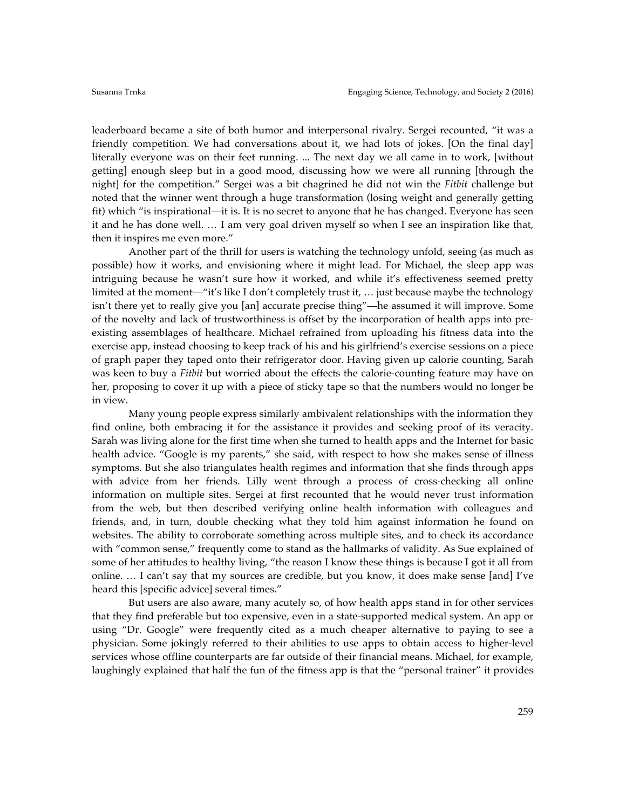leaderboard became a site of both humor and interpersonal rivalry. Sergei recounted, "it was a friendly competition. We had conversations about it, we had lots of jokes. [On the final day] literally everyone was on their feet running. ... The next day we all came in to work, [without getting] enough sleep but in a good mood, discussing how we were all running [through the night] for the competition." Sergei was a bit chagrined he did not win the *Fitbit* challenge but noted that the winner went through a huge transformation (losing weight and generally getting fit) which "is inspirational––it is. It is no secret to anyone that he has changed. Everyone has seen it and he has done well. … I am very goal driven myself so when I see an inspiration like that, then it inspires me even more."

Another part of the thrill for users is watching the technology unfold, seeing (as much as possible) how it works, and envisioning where it might lead. For Michael, the sleep app was intriguing because he wasn't sure how it worked, and while it's effectiveness seemed pretty limited at the moment—"it's like I don't completely trust it, ... just because maybe the technology isn't there yet to really give you [an] accurate precise thing"––he assumed it will improve. Some of the novelty and lack of trustworthiness is offset by the incorporation of health apps into preexisting assemblages of healthcare. Michael refrained from uploading his fitness data into the exercise app, instead choosing to keep track of his and his girlfriend's exercise sessions on a piece of graph paper they taped onto their refrigerator door. Having given up calorie counting, Sarah was keen to buy a *Fitbit* but worried about the effects the calorie-counting feature may have on her, proposing to cover it up with a piece of sticky tape so that the numbers would no longer be in view.

Many young people express similarly ambivalent relationships with the information they find online, both embracing it for the assistance it provides and seeking proof of its veracity. Sarah was living alone for the first time when she turned to health apps and the Internet for basic health advice. "Google is my parents," she said, with respect to how she makes sense of illness symptoms. But she also triangulates health regimes and information that she finds through apps with advice from her friends. Lilly went through a process of cross-checking all online information on multiple sites. Sergei at first recounted that he would never trust information from the web, but then described verifying online health information with colleagues and friends, and, in turn, double checking what they told him against information he found on websites. The ability to corroborate something across multiple sites, and to check its accordance with "common sense," frequently come to stand as the hallmarks of validity. As Sue explained of some of her attitudes to healthy living, "the reason I know these things is because I got it all from online. … I can't say that my sources are credible, but you know, it does make sense [and] I've heard this [specific advice] several times."

But users are also aware, many acutely so, of how health apps stand in for other services that they find preferable but too expensive, even in a state-supported medical system. An app or using "Dr. Google" were frequently cited as a much cheaper alternative to paying to see a physician. Some jokingly referred to their abilities to use apps to obtain access to higher-level services whose offline counterparts are far outside of their financial means. Michael, for example, laughingly explained that half the fun of the fitness app is that the "personal trainer" it provides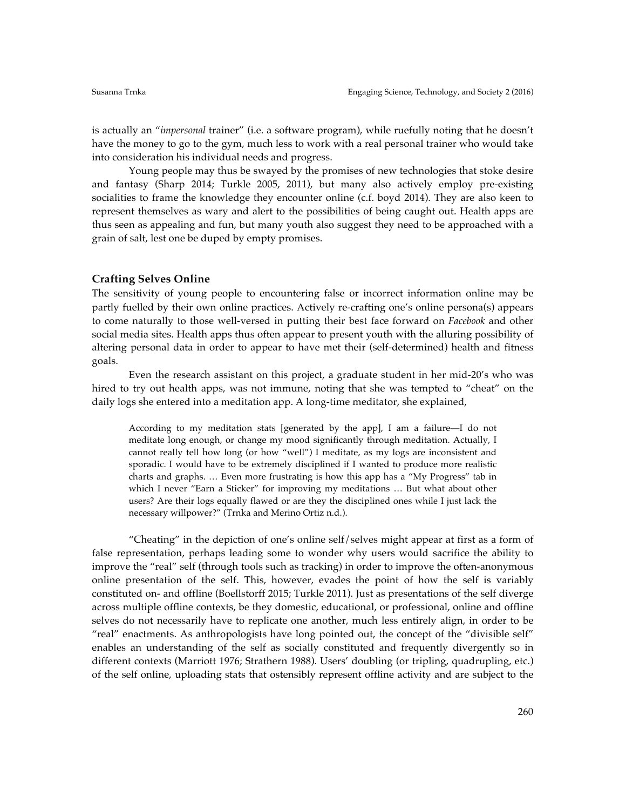is actually an "*impersonal* trainer" (i.e. a software program), while ruefully noting that he doesn't have the money to go to the gym, much less to work with a real personal trainer who would take into consideration his individual needs and progress.

Young people may thus be swayed by the promises of new technologies that stoke desire and fantasy (Sharp 2014; Turkle 2005, 2011), but many also actively employ pre-existing socialities to frame the knowledge they encounter online (c.f. boyd 2014). They are also keen to represent themselves as wary and alert to the possibilities of being caught out. Health apps are thus seen as appealing and fun, but many youth also suggest they need to be approached with a grain of salt, lest one be duped by empty promises.

#### **Crafting Selves Online**

The sensitivity of young people to encountering false or incorrect information online may be partly fuelled by their own online practices. Actively re-crafting one's online persona(s) appears to come naturally to those well-versed in putting their best face forward on *Facebook* and other social media sites. Health apps thus often appear to present youth with the alluring possibility of altering personal data in order to appear to have met their (self-determined) health and fitness goals.

Even the research assistant on this project, a graduate student in her mid-20's who was hired to try out health apps, was not immune, noting that she was tempted to "cheat" on the daily logs she entered into a meditation app. A long-time meditator, she explained,

According to my meditation stats [generated by the app], I am a failure––I do not meditate long enough, or change my mood significantly through meditation. Actually, I cannot really tell how long (or how "well") I meditate, as my logs are inconsistent and sporadic. I would have to be extremely disciplined if I wanted to produce more realistic charts and graphs. … Even more frustrating is how this app has a "My Progress" tab in which I never "Earn a Sticker" for improving my meditations … But what about other users? Are their logs equally flawed or are they the disciplined ones while I just lack the necessary willpower?" (Trnka and Merino Ortiz n.d.).

"Cheating" in the depiction of one's online self/selves might appear at first as a form of false representation, perhaps leading some to wonder why users would sacrifice the ability to improve the "real" self (through tools such as tracking) in order to improve the often-anonymous online presentation of the self. This, however, evades the point of how the self is variably constituted on- and offline (Boellstorff 2015; Turkle 2011). Just as presentations of the self diverge across multiple offline contexts, be they domestic, educational, or professional, online and offline selves do not necessarily have to replicate one another, much less entirely align, in order to be "real" enactments. As anthropologists have long pointed out, the concept of the "divisible self" enables an understanding of the self as socially constituted and frequently divergently so in different contexts (Marriott 1976; Strathern 1988). Users' doubling (or tripling, quadrupling, etc.) of the self online, uploading stats that ostensibly represent offline activity and are subject to the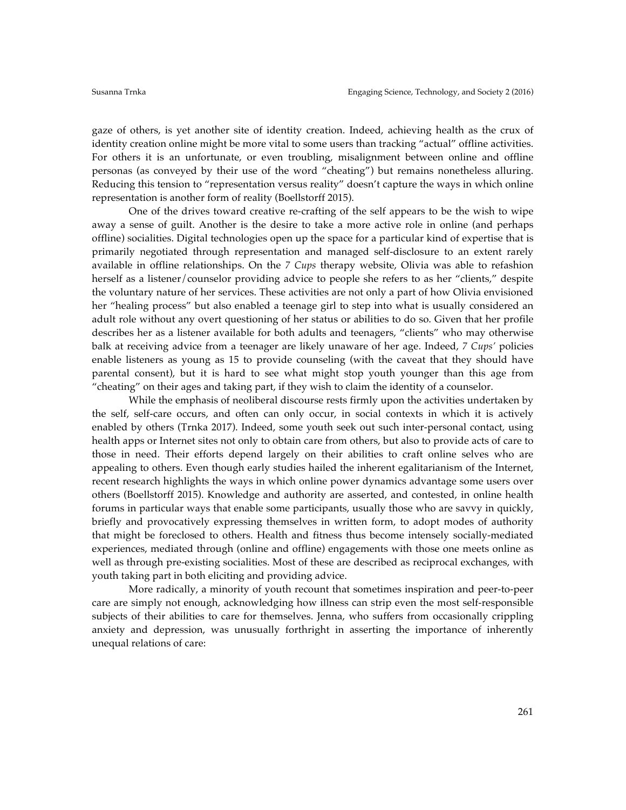gaze of others, is yet another site of identity creation. Indeed, achieving health as the crux of identity creation online might be more vital to some users than tracking "actual" offline activities. For others it is an unfortunate, or even troubling, misalignment between online and offline personas (as conveyed by their use of the word "cheating") but remains nonetheless alluring. Reducing this tension to "representation versus reality" doesn't capture the ways in which online representation is another form of reality (Boellstorff 2015).

One of the drives toward creative re-crafting of the self appears to be the wish to wipe away a sense of guilt. Another is the desire to take a more active role in online (and perhaps offline) socialities. Digital technologies open up the space for a particular kind of expertise that is primarily negotiated through representation and managed self-disclosure to an extent rarely available in offline relationships. On the *7 Cups* therapy website, Olivia was able to refashion herself as a listener/counselor providing advice to people she refers to as her "clients," despite the voluntary nature of her services. These activities are not only a part of how Olivia envisioned her "healing process" but also enabled a teenage girl to step into what is usually considered an adult role without any overt questioning of her status or abilities to do so. Given that her profile describes her as a listener available for both adults and teenagers, "clients" who may otherwise balk at receiving advice from a teenager are likely unaware of her age. Indeed, *7 Cups'* policies enable listeners as young as 15 to provide counseling (with the caveat that they should have parental consent), but it is hard to see what might stop youth younger than this age from "cheating" on their ages and taking part, if they wish to claim the identity of a counselor.

While the emphasis of neoliberal discourse rests firmly upon the activities undertaken by the self, self-care occurs, and often can only occur, in social contexts in which it is actively enabled by others (Trnka 2017). Indeed, some youth seek out such inter-personal contact, using health apps or Internet sites not only to obtain care from others, but also to provide acts of care to those in need. Their efforts depend largely on their abilities to craft online selves who are appealing to others. Even though early studies hailed the inherent egalitarianism of the Internet, recent research highlights the ways in which online power dynamics advantage some users over others (Boellstorff 2015). Knowledge and authority are asserted, and contested, in online health forums in particular ways that enable some participants, usually those who are savvy in quickly, briefly and provocatively expressing themselves in written form, to adopt modes of authority that might be foreclosed to others. Health and fitness thus become intensely socially-mediated experiences, mediated through (online and offline) engagements with those one meets online as well as through pre-existing socialities. Most of these are described as reciprocal exchanges, with youth taking part in both eliciting and providing advice.

More radically, a minority of youth recount that sometimes inspiration and peer-to-peer care are simply not enough, acknowledging how illness can strip even the most self-responsible subjects of their abilities to care for themselves. Jenna, who suffers from occasionally crippling anxiety and depression, was unusually forthright in asserting the importance of inherently unequal relations of care: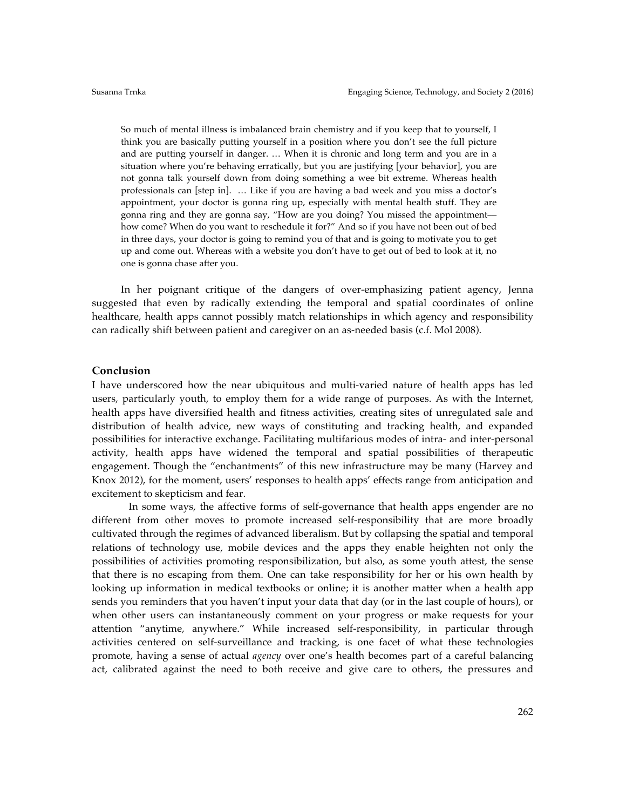So much of mental illness is imbalanced brain chemistry and if you keep that to yourself, I think you are basically putting yourself in a position where you don't see the full picture and are putting yourself in danger. … When it is chronic and long term and you are in a situation where you're behaving erratically, but you are justifying [your behavior], you are not gonna talk yourself down from doing something a wee bit extreme. Whereas health professionals can [step in]. … Like if you are having a bad week and you miss a doctor's appointment, your doctor is gonna ring up, especially with mental health stuff. They are gonna ring and they are gonna say, "How are you doing? You missed the appointment–– how come? When do you want to reschedule it for?" And so if you have not been out of bed in three days, your doctor is going to remind you of that and is going to motivate you to get up and come out. Whereas with a website you don't have to get out of bed to look at it, no one is gonna chase after you.

In her poignant critique of the dangers of over-emphasizing patient agency, Jenna suggested that even by radically extending the temporal and spatial coordinates of online healthcare, health apps cannot possibly match relationships in which agency and responsibility can radically shift between patient and caregiver on an as-needed basis (c.f. Mol 2008).

## **Conclusion**

I have underscored how the near ubiquitous and multi-varied nature of health apps has led users, particularly youth, to employ them for a wide range of purposes. As with the Internet, health apps have diversified health and fitness activities, creating sites of unregulated sale and distribution of health advice, new ways of constituting and tracking health, and expanded possibilities for interactive exchange. Facilitating multifarious modes of intra- and inter-personal activity, health apps have widened the temporal and spatial possibilities of therapeutic engagement. Though the "enchantments" of this new infrastructure may be many (Harvey and Knox 2012), for the moment, users' responses to health apps' effects range from anticipation and excitement to skepticism and fear.

In some ways, the affective forms of self-governance that health apps engender are no different from other moves to promote increased self-responsibility that are more broadly cultivated through the regimes of advanced liberalism. But by collapsing the spatial and temporal relations of technology use, mobile devices and the apps they enable heighten not only the possibilities of activities promoting responsibilization, but also, as some youth attest, the sense that there is no escaping from them. One can take responsibility for her or his own health by looking up information in medical textbooks or online; it is another matter when a health app sends you reminders that you haven't input your data that day (or in the last couple of hours), or when other users can instantaneously comment on your progress or make requests for your attention "anytime, anywhere." While increased self-responsibility, in particular through activities centered on self-surveillance and tracking, is one facet of what these technologies promote, having a sense of actual *agency* over one's health becomes part of a careful balancing act, calibrated against the need to both receive and give care to others, the pressures and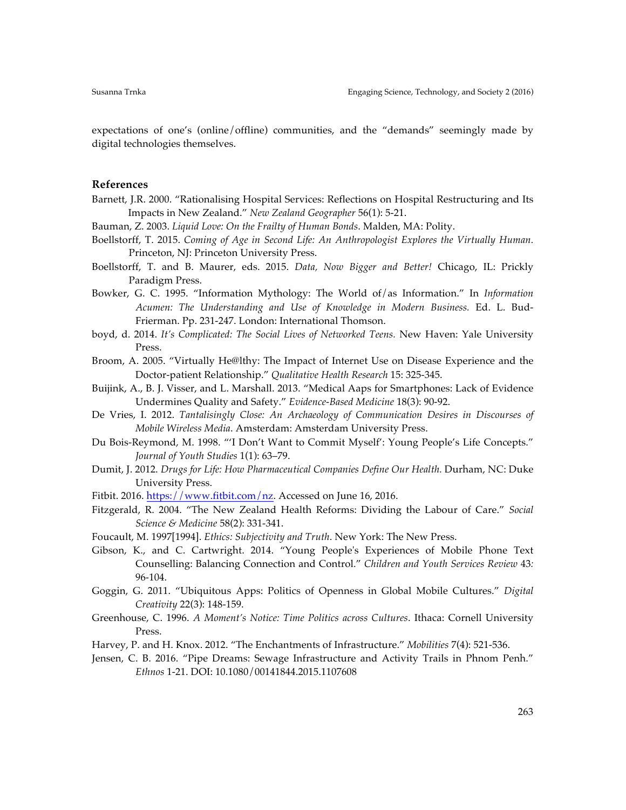expectations of one's (online/offline) communities, and the "demands" seemingly made by digital technologies themselves.

#### **References**

- Barnett, J.R. 2000. "Rationalising Hospital Services: Reflections on Hospital Restructuring and Its Impacts in New Zealand." *New Zealand Geographer* 56(1): 5-21.
- Bauman, Z. 2003. *Liquid Love: On the Frailty of Human Bonds*. Malden, MA: Polity.
- Boellstorff, T. 2015. *Coming of Age in Second Life: An Anthropologist Explores the Virtually Human.* Princeton, NJ: Princeton University Press.
- Boellstorff, T. and B. Maurer, eds. 2015. *Data, Now Bigger and Better!* Chicago, IL: Prickly Paradigm Press.
- Bowker, G. C. 1995. "Information Mythology: The World of/as Information." In *Information Acumen: The Understanding and Use of Knowledge in Modern Business.* Ed. L. Bud-Frierman. Pp. 231-247. London: International Thomson.
- boyd, d. 2014. *It's Complicated: The Social Lives of Networked Teens.* New Haven: Yale University Press.
- Broom, A. 2005. "Virtually He@lthy: The Impact of Internet Use on Disease Experience and the Doctor-patient Relationship." *Qualitative Health Research* 15: 325-345.
- Buijink, A., B. J. Visser, and L. Marshall. 2013. "Medical Aaps for Smartphones: Lack of Evidence Undermines Quality and Safety." *Evidence-Based Medicine* 18(3): 90-92.
- De Vries, I. 2012. *Tantalisingly Close: An Archaeology of Communication Desires in Discourses of Mobile Wireless Media*. Amsterdam: Amsterdam University Press.
- Du Bois-Reymond, M. 1998. "'I Don't Want to Commit Myself': Young People's Life Concepts." *Journal of Youth Studies* 1(1): 63–79.
- Dumit, J. 2012. *Drugs for Life: How Pharmaceutical Companies Define Our Health.* Durham, NC: Duke University Press.
- Fitbit. 2016. https://www.fitbit.com/nz. Accessed on June 16, 2016.
- Fitzgerald, R. 2004. "The New Zealand Health Reforms: Dividing the Labour of Care." *Social Science & Medicine* 58(2): 331-341.
- Foucault, M. 1997[1994]. *Ethics: Subjectivity and Truth*. New York: The New Press.
- Gibson, K., and C. Cartwright. 2014. "Young People's Experiences of Mobile Phone Text Counselling: Balancing Connection and Control." *Children and Youth Services Review* 43*:*  96-104.
- Goggin, G. 2011. "Ubiquitous Apps: Politics of Openness in Global Mobile Cultures." *Digital Creativity* 22(3): 148-159.
- Greenhouse, C. 1996. *A Moment's Notice: Time Politics across Cultures*. Ithaca: Cornell University Press.
- Harvey, P. and H. Knox. 2012. "The Enchantments of Infrastructure." *Mobilities* 7(4): 521-536.
- Jensen, C. B. 2016. "Pipe Dreams: Sewage Infrastructure and Activity Trails in Phnom Penh." *Ethnos* 1-21. DOI: 10.1080/00141844.2015.1107608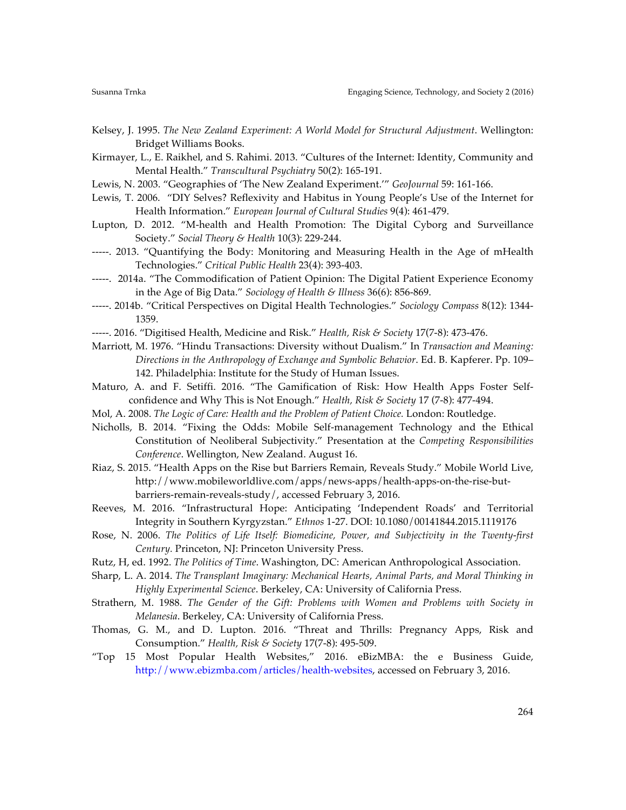- Kelsey, J. 1995. *The New Zealand Experiment: A World Model for Structural Adjustment*. Wellington: Bridget Williams Books.
- Kirmayer, L., E. Raikhel, and S. Rahimi. 2013. "Cultures of the Internet: Identity, Community and Mental Health." *Transcultural Psychiatry* 50(2): 165-191.
- Lewis, N. 2003. "Geographies of 'The New Zealand Experiment.'" *GeoJournal* 59: 161-166.
- Lewis, T. 2006. "DIY Selves? Reflexivity and Habitus in Young People's Use of the Internet for Health Information." *European Journal of Cultural Studies* 9(4): 461-479.
- Lupton, D. 2012. "M-health and Health Promotion: The Digital Cyborg and Surveillance Society." *Social Theory & Health* 10(3): 229-244.
- -----. 2013. "Quantifying the Body: Monitoring and Measuring Health in the Age of mHealth Technologies." *Critical Public Health* 23(4): 393-403.
- -----. 2014a. "The Commodification of Patient Opinion: The Digital Patient Experience Economy in the Age of Big Data." *Sociology of Health & Illness* 36(6): 856-869.
- -----. 2014b. "Critical Perspectives on Digital Health Technologies." *Sociology Compass* 8(12): 1344- 1359.
- -----. 2016. "Digitised Health, Medicine and Risk." *Health, Risk & Society* 17(7-8): 473-476.
- Marriott, M. 1976. "Hindu Transactions: Diversity without Dualism." In *Transaction and Meaning: Directions in the Anthropology of Exchange and Symbolic Behavior*. Ed. B. Kapferer. Pp. 109– 142. Philadelphia: Institute for the Study of Human Issues.
- Maturo, A. and F. Setiffi. 2016. "The Gamification of Risk: How Health Apps Foster Selfconfidence and Why This is Not Enough." *Health, Risk & Society* 17 (7-8): 477-494.
- Mol, A. 2008. *The Logic of Care: Health and the Problem of Patient Choice.* London: Routledge.
- Nicholls, B. 2014. "Fixing the Odds: Mobile Self-management Technology and the Ethical Constitution of Neoliberal Subjectivity." Presentation at the *Competing Responsibilities Conference*. Wellington, New Zealand. August 16.
- Riaz, S. 2015. "Health Apps on the Rise but Barriers Remain, Reveals Study." Mobile World Live, http://www.mobileworldlive.com/apps/news-apps/health-apps-on-the-rise-butbarriers-remain-reveals-study/, accessed February 3, 2016.
- Reeves, M. 2016. "Infrastructural Hope: Anticipating 'Independent Roads' and Territorial Integrity in Southern Kyrgyzstan." *Ethnos* 1-27. DOI: 10.1080/00141844.2015.1119176
- Rose, N. 2006. *The Politics of Life Itself: Biomedicine, Power, and Subjectivity in the Twenty-first Century.* Princeton, NJ: Princeton University Press.
- Rutz, H, ed. 1992. *The Politics of Time*. Washington, DC: American Anthropological Association.
- Sharp, L. A. 2014. *The Transplant Imaginary: Mechanical Hearts, Animal Parts, and Moral Thinking in Highly Experimental Science*. Berkeley, CA: University of California Press.
- Strathern, M. 1988. *The Gender of the Gift: Problems with Women and Problems with Society in Melanesia*. Berkeley, CA: University of California Press.
- Thomas, G. M., and D. Lupton. 2016. "Threat and Thrills: Pregnancy Apps, Risk and Consumption." *Health, Risk & Society* 17(7-8): 495-509.
- "Top 15 Most Popular Health Websites," 2016. eBizMBA: the e Business Guide, http://www.ebizmba.com/articles/health-websites, accessed on February 3, 2016.